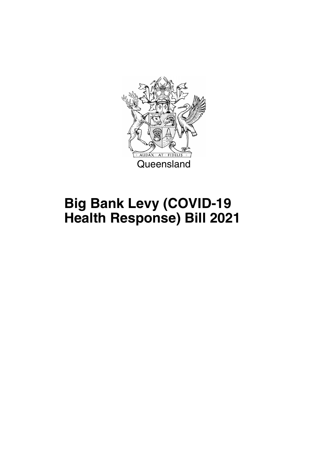

## **Big Bank Levy (COVID-19 Health Response) Bill 2021**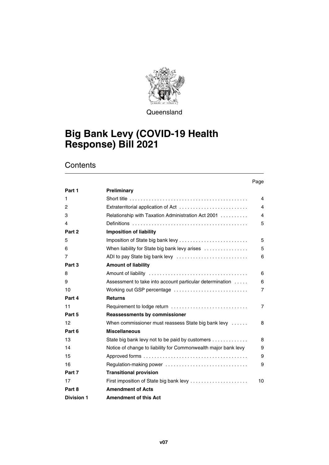

**Queensland** 

### **Big Bank Levy (COVID-19 Health Response) Bill 2021**

#### **Contents**

#### Page

| Part 1            | <b>Preliminary</b>                                             |                |
|-------------------|----------------------------------------------------------------|----------------|
| 1                 |                                                                | $\overline{4}$ |
| 2                 | Extraterritorial application of Act                            | 4              |
| 3                 | Relationship with Taxation Administration Act 2001             | 4              |
| 4                 |                                                                | 5              |
| Part 2            | <b>Imposition of liability</b>                                 |                |
| 5                 | Imposition of State big bank levy                              | 5              |
| 6                 | When liability for State big bank levy arises                  | 5              |
| 7                 | ADI to pay State big bank levy                                 | 6              |
| Part 3            | <b>Amount of liability</b>                                     |                |
| 8                 |                                                                | 6              |
| 9                 | Assessment to take into account particular determination       | 6              |
| 10                | Working out GSP percentage                                     | $\overline{7}$ |
| Part 4            | <b>Returns</b>                                                 |                |
| 11                |                                                                | $\overline{7}$ |
| Part 5            | <b>Reassessments by commissioner</b>                           |                |
| 12                | When commissioner must reassess State big bank levy            | 8              |
| Part 6            | <b>Miscellaneous</b>                                           |                |
| 13                | State big bank levy not to be paid by customers                | 8              |
| 14                | Notice of change to liability for Commonwealth major bank levy | 9              |
| 15                |                                                                | 9              |
| 16                |                                                                | 9              |
| Part 7            | <b>Transitional provision</b>                                  |                |
| 17                | First imposition of State big bank levy                        | 10             |
| Part 8            | <b>Amendment of Acts</b>                                       |                |
| <b>Division 1</b> | <b>Amendment of this Act</b>                                   |                |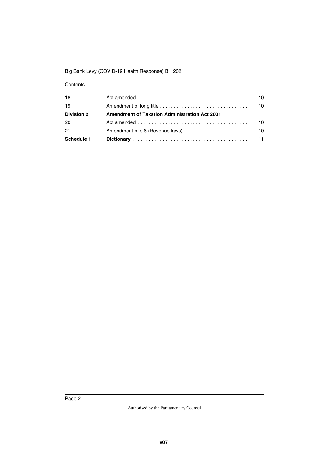#### Big Bank Levy (COVID-19 Health Response) Bill 2021

#### **Contents**

| 18                | Act amended $\ldots \ldots \ldots \ldots \ldots \ldots \ldots \ldots \ldots \ldots \ldots \ldots$ | 10. |
|-------------------|---------------------------------------------------------------------------------------------------|-----|
| 19                |                                                                                                   | 10  |
| <b>Division 2</b> | <b>Amendment of Taxation Administration Act 2001</b>                                              |     |
| 20                | Act amended $\ldots \ldots \ldots \ldots \ldots \ldots \ldots \ldots \ldots \ldots \ldots \ldots$ | 10  |
| 21                | Amendment of s 6 (Revenue laws)                                                                   | 10  |
| Schedule 1        |                                                                                                   | 11  |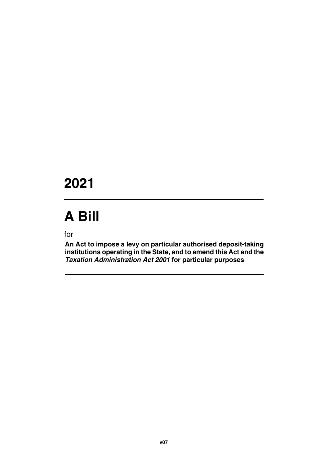### **2021**

# **A Bill**

for

**An Act to impose a levy on particular authorised deposit-taking institutions operating in the State, and to amend this Act and the** *Taxation Administration Act 2001* **for particular purposes**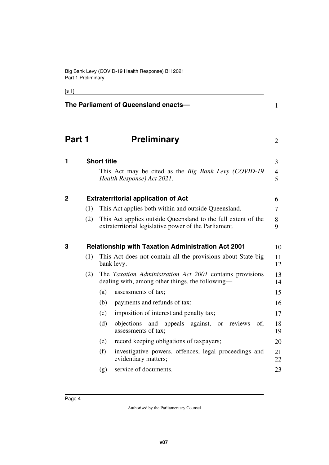[s 1]

<span id="page-5-7"></span><span id="page-5-6"></span><span id="page-5-5"></span><span id="page-5-4"></span><span id="page-5-3"></span><span id="page-5-2"></span><span id="page-5-1"></span><span id="page-5-0"></span>

|              |     | The Parliament of Queensland enacts-                                                                                   | $\mathbf{1}$        |
|--------------|-----|------------------------------------------------------------------------------------------------------------------------|---------------------|
| Part 1       |     | <b>Preliminary</b>                                                                                                     | $\overline{2}$      |
| 1            |     | <b>Short title</b>                                                                                                     | 3                   |
|              |     | This Act may be cited as the <i>Big Bank Levy (COVID-19</i><br>Health Response) Act 2021.                              | $\overline{4}$<br>5 |
| $\mathbf{2}$ |     | <b>Extraterritorial application of Act</b>                                                                             | 6                   |
|              | (1) | This Act applies both within and outside Queensland.                                                                   | $\tau$              |
|              | (2) | This Act applies outside Queensland to the full extent of the<br>extraterritorial legislative power of the Parliament. | 8<br>9              |
| 3            |     | <b>Relationship with Taxation Administration Act 2001</b>                                                              | 10                  |
|              | (1) | This Act does not contain all the provisions about State big<br>bank levy.                                             | 11<br>12            |
|              | (2) | The Taxation Administration Act 2001 contains provisions<br>dealing with, among other things, the following—           | 13<br>14            |
|              |     | (a)<br>assessments of tax;                                                                                             | 15                  |
|              |     | payments and refunds of tax;<br>(b)                                                                                    | 16                  |
|              |     | (c)<br>imposition of interest and penalty tax;                                                                         | 17                  |
|              |     | (d)<br>objections<br>and appeals<br>against, or reviews<br>of,<br>assessments of tax;                                  | 18<br>19            |
|              |     | record keeping obligations of taxpayers;<br>(e)                                                                        | 20                  |
|              |     | (f)<br>investigative powers, offences, legal proceedings and<br>evidentiary matters;                                   | 21<br>22            |
|              |     | service of documents.<br>(g)                                                                                           | 23                  |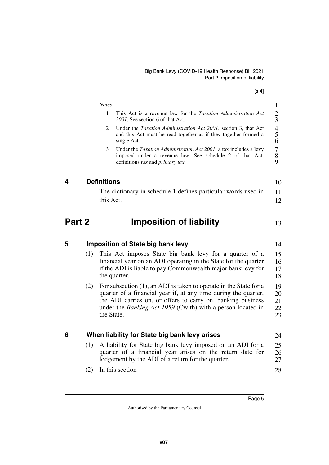<span id="page-6-7"></span><span id="page-6-6"></span><span id="page-6-5"></span><span id="page-6-4"></span><span id="page-6-3"></span><span id="page-6-2"></span><span id="page-6-1"></span><span id="page-6-0"></span>

|        |     |                    | [s 4]                                                                                                                                                                                                                                                                                      |
|--------|-----|--------------------|--------------------------------------------------------------------------------------------------------------------------------------------------------------------------------------------------------------------------------------------------------------------------------------------|
|        |     | Notes-             |                                                                                                                                                                                                                                                                                            |
|        |     | $\mathbf{1}$       | This Act is a revenue law for the <i>Taxation Administration Act</i><br>2001. See section 6 of that Act.                                                                                                                                                                                   |
|        |     | 2                  | Under the Taxation Administration Act 2001, section 3, that Act<br>and this Act must be read together as if they together formed a<br>single Act.                                                                                                                                          |
|        |     | 3                  | Under the Taxation Administration Act 2001, a tax includes a levy<br>imposed under a revenue law. See schedule 2 of that Act,<br>definitions tax and primary tax.                                                                                                                          |
| 4      |     | <b>Definitions</b> |                                                                                                                                                                                                                                                                                            |
|        |     |                    | The dictionary in schedule 1 defines particular words used in                                                                                                                                                                                                                              |
|        |     | this Act.          |                                                                                                                                                                                                                                                                                            |
| Part 2 |     |                    | <b>Imposition of liability</b>                                                                                                                                                                                                                                                             |
| 5      |     |                    | <b>Imposition of State big bank levy</b>                                                                                                                                                                                                                                                   |
|        | (1) |                    | This Act imposes State big bank levy for a quarter of a<br>financial year on an ADI operating in the State for the quarter<br>if the ADI is liable to pay Commonwealth major bank levy for<br>the quarter.                                                                                 |
|        | (2) |                    | For subsection $(1)$ , an ADI is taken to operate in the State for a<br>quarter of a financial year if, at any time during the quarter,<br>the ADI carries on, or offers to carry on, banking business<br>under the <i>Banking Act 1959</i> (Cwlth) with a person located in<br>the State. |
| 6      |     |                    | When liability for State big bank levy arises                                                                                                                                                                                                                                              |
|        | (1) |                    | A liability for State big bank levy imposed on an ADI for a<br>quarter of a financial year arises on the return date for<br>lodgement by the ADI of a return for the quarter.                                                                                                              |
|        | (2) |                    | In this section-                                                                                                                                                                                                                                                                           |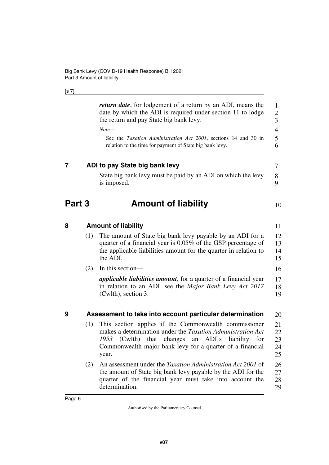#### [s 7]

<span id="page-7-7"></span><span id="page-7-6"></span><span id="page-7-5"></span><span id="page-7-4"></span><span id="page-7-3"></span><span id="page-7-2"></span><span id="page-7-1"></span><span id="page-7-0"></span>

|        |     | <i>return date</i> , for lodgement of a return by an ADI, means the<br>date by which the ADI is required under section 11 to lodge<br>the return and pay State big bank levy.<br>$Note-$<br>See the Taxation Administration Act 2001, sections 14 and 30 in                | $\mathbf{1}$<br>$\boldsymbol{2}$<br>3<br>$\overline{4}$<br>5 |
|--------|-----|----------------------------------------------------------------------------------------------------------------------------------------------------------------------------------------------------------------------------------------------------------------------------|--------------------------------------------------------------|
|        |     | relation to the time for payment of State big bank levy.                                                                                                                                                                                                                   | 6                                                            |
| 7      |     | ADI to pay State big bank levy                                                                                                                                                                                                                                             | 7                                                            |
|        |     | State big bank levy must be paid by an ADI on which the levy<br>is imposed.                                                                                                                                                                                                | $8\,$<br>9                                                   |
| Part 3 |     | <b>Amount of liability</b>                                                                                                                                                                                                                                                 | 10                                                           |
| 8      |     | <b>Amount of liability</b>                                                                                                                                                                                                                                                 | 11                                                           |
|        | (1) | The amount of State big bank levy payable by an ADI for a<br>quarter of a financial year is 0.05% of the GSP percentage of<br>the applicable liabilities amount for the quarter in relation to<br>the ADI.                                                                 | 12<br>13<br>14<br>15                                         |
|        | (2) | In this section-                                                                                                                                                                                                                                                           | 16                                                           |
|        |     | <i>applicable liabilities amount</i> , for a quarter of a financial year<br>in relation to an ADI, see the <i>Major Bank Levy Act 2017</i><br>(Cwlth), section 3.                                                                                                          | 17<br>18<br>19                                               |
| 9      |     | Assessment to take into account particular determination                                                                                                                                                                                                                   | 20                                                           |
|        | (1) | This section applies if the Commonwealth commissioner<br>makes a determination under the <i>Taxation Administration Act</i><br>ADI's<br>1953<br>(Cwlth)<br>that<br>changes<br>liability<br>for<br>an<br>Commonwealth major bank levy for a quarter of a financial<br>year. | 21<br>22<br>23<br>24<br>25                                   |
|        | (2) | An assessment under the Taxation Administration Act 2001 of<br>the amount of State big bank levy payable by the ADI for the<br>quarter of the financial year must take into account the<br>determination.                                                                  | 26<br>27<br>28<br>29                                         |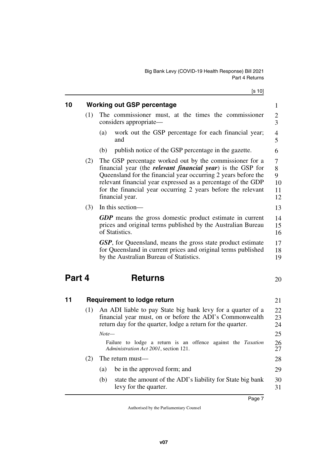[s 10]

<span id="page-8-5"></span><span id="page-8-4"></span><span id="page-8-3"></span><span id="page-8-2"></span><span id="page-8-1"></span><span id="page-8-0"></span>

|        |     | נטו טן                                                                                                                                                                                                                                                                                                                                              |                               |
|--------|-----|-----------------------------------------------------------------------------------------------------------------------------------------------------------------------------------------------------------------------------------------------------------------------------------------------------------------------------------------------------|-------------------------------|
| 10     |     | <b>Working out GSP percentage</b>                                                                                                                                                                                                                                                                                                                   | $\mathbf{1}$                  |
|        | (1) | The commissioner must, at the times the commissioner<br>considers appropriate—                                                                                                                                                                                                                                                                      | 2<br>$\overline{3}$           |
|        |     | work out the GSP percentage for each financial year;<br>(a)<br>and                                                                                                                                                                                                                                                                                  | 4<br>5                        |
|        |     | publish notice of the GSP percentage in the gazette.<br>(b)                                                                                                                                                                                                                                                                                         | 6                             |
|        | (2) | The GSP percentage worked out by the commissioner for a<br>financial year (the <i>relevant financial year</i> ) is the GSP for<br>Queensland for the financial year occurring 2 years before the<br>relevant financial year expressed as a percentage of the GDP<br>for the financial year occurring 2 years before the relevant<br>financial year. | 7<br>8<br>9<br>10<br>11<br>12 |
|        | (3) | In this section—                                                                                                                                                                                                                                                                                                                                    | 13                            |
|        |     | <b>GDP</b> means the gross domestic product estimate in current<br>prices and original terms published by the Australian Bureau<br>of Statistics.                                                                                                                                                                                                   | 14<br>15<br>16                |
|        |     | <b>GSP</b> , for Queensland, means the gross state product estimate<br>for Queensland in current prices and original terms published<br>by the Australian Bureau of Statistics.                                                                                                                                                                     | 17<br>18<br>19                |
| Part 4 |     | <b>Returns</b>                                                                                                                                                                                                                                                                                                                                      | 20                            |
| 11     |     | <b>Requirement to lodge return</b>                                                                                                                                                                                                                                                                                                                  | 21                            |
|        | (1) | An ADI liable to pay State big bank levy for a quarter of a<br>financial year must, on or before the ADI's Commonwealth<br>return day for the quarter, lodge a return for the quarter.<br>$Note-$                                                                                                                                                   | 22<br>23<br>24<br>25          |
|        |     | Failure to lodge a return is an offence against the Taxation<br>Administration Act 2001, section 121.                                                                                                                                                                                                                                               | 26<br>27                      |
|        | (2) | The return must—                                                                                                                                                                                                                                                                                                                                    | 28                            |
|        |     | be in the approved form; and<br>(a)                                                                                                                                                                                                                                                                                                                 | 29                            |
|        |     | (b)<br>state the amount of the ADI's liability for State big bank<br>levy for the quarter.                                                                                                                                                                                                                                                          | 30<br>31                      |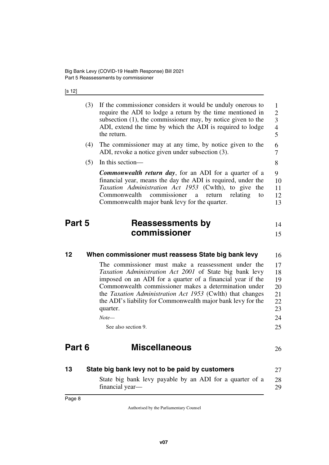[s 12]

<span id="page-9-7"></span><span id="page-9-6"></span><span id="page-9-5"></span><span id="page-9-4"></span><span id="page-9-3"></span><span id="page-9-2"></span><span id="page-9-1"></span><span id="page-9-0"></span>

|        | (3) | If the commissioner considers it would be unduly onerous to<br>require the ADI to lodge a return by the time mentioned in<br>subsection $(1)$ , the commissioner may, by notice given to the<br>ADI, extend the time by which the ADI is required to lodge<br>the return.                                                                                                             | $\mathbf{1}$<br>$\overline{2}$<br>$\overline{\mathbf{3}}$<br>$\overline{\mathcal{A}}$<br>5 |
|--------|-----|---------------------------------------------------------------------------------------------------------------------------------------------------------------------------------------------------------------------------------------------------------------------------------------------------------------------------------------------------------------------------------------|--------------------------------------------------------------------------------------------|
|        | (4) | The commissioner may at any time, by notice given to the<br>ADI, revoke a notice given under subsection (3).                                                                                                                                                                                                                                                                          | 6<br>7                                                                                     |
|        | (5) | In this section-                                                                                                                                                                                                                                                                                                                                                                      | 8                                                                                          |
|        |     | <b>Commonwealth return day, for an ADI for a quarter of a</b><br>financial year, means the day the ADI is required, under the<br>Taxation Administration Act 1953 (Cwlth), to give the<br>commissioner<br>Commonwealth<br>a<br>return<br>relating<br>to<br>Commonwealth major bank levy for the quarter.                                                                              | 9<br>10<br>11<br>12<br>13                                                                  |
| Part 5 |     | <b>Reassessments by</b><br>commissioner                                                                                                                                                                                                                                                                                                                                               | 14<br>15                                                                                   |
| 12     |     | When commissioner must reassess State big bank levy                                                                                                                                                                                                                                                                                                                                   | 16                                                                                         |
|        |     | The commissioner must make a reassessment under the<br>Taxation Administration Act 2001 of State big bank levy<br>imposed on an ADI for a quarter of a financial year if the<br>Commonwealth commissioner makes a determination under<br>the <i>Taxation Administration Act 1953</i> (Cwlth) that changes<br>the ADI's liability for Commonwealth major bank levy for the<br>quarter. | 17<br>18<br>19<br>20<br>21<br>22<br>23                                                     |
|        |     | $Note-$                                                                                                                                                                                                                                                                                                                                                                               | 24                                                                                         |
|        |     | See also section 9.                                                                                                                                                                                                                                                                                                                                                                   | 25                                                                                         |
| Part 6 |     | <b>Miscellaneous</b>                                                                                                                                                                                                                                                                                                                                                                  | 26                                                                                         |
| 13     |     | State big bank levy not to be paid by customers                                                                                                                                                                                                                                                                                                                                       | 27                                                                                         |
|        |     | State big bank levy payable by an ADI for a quarter of a<br>financial year-                                                                                                                                                                                                                                                                                                           | 28<br>29                                                                                   |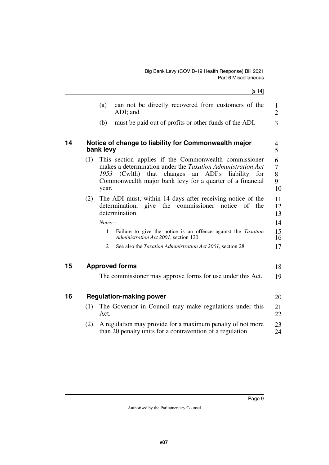<span id="page-10-5"></span><span id="page-10-4"></span><span id="page-10-3"></span><span id="page-10-2"></span><span id="page-10-1"></span><span id="page-10-0"></span>

|    |     | [s 14]                                                                                                                                                                                                                                                      |                                |
|----|-----|-------------------------------------------------------------------------------------------------------------------------------------------------------------------------------------------------------------------------------------------------------------|--------------------------------|
|    |     | can not be directly recovered from customers of the<br>(a)<br>ADI; and                                                                                                                                                                                      | $\mathbf{1}$<br>$\overline{2}$ |
|    |     | (b)<br>must be paid out of profits or other funds of the ADI.                                                                                                                                                                                               | 3                              |
| 14 |     | Notice of change to liability for Commonwealth major<br>bank levy                                                                                                                                                                                           | 4<br>5                         |
|    | (1) | This section applies if the Commonwealth commissioner<br>makes a determination under the <i>Taxation Administration Act</i><br>(Cwlth) that changes<br>an ADI's liability for<br>1953<br>Commonwealth major bank levy for a quarter of a financial<br>year. | 6<br>7<br>8<br>9<br>10         |
|    | (2) | The ADI must, within 14 days after receiving notice of the<br>determination,<br>give the<br>commissioner<br>notice<br>of the<br>determination.                                                                                                              | 11<br>12<br>13                 |
|    |     | Notes-<br>Failure to give the notice is an offence against the Taxation<br>1<br>Administration Act 2001, section 120.                                                                                                                                       | 14<br>15<br>16                 |
|    |     | See also the Taxation Administration Act 2001, section 28.<br>2                                                                                                                                                                                             | 17                             |
| 15 |     | <b>Approved forms</b>                                                                                                                                                                                                                                       | 18                             |
|    |     | The commissioner may approve forms for use under this Act.                                                                                                                                                                                                  | 19                             |
| 16 |     | <b>Regulation-making power</b>                                                                                                                                                                                                                              | 20                             |
|    | (1) | The Governor in Council may make regulations under this<br>Act.                                                                                                                                                                                             | 21<br>22                       |
|    | (2) | A regulation may provide for a maximum penalty of not more<br>than 20 penalty units for a contravention of a regulation.                                                                                                                                    | 23<br>24                       |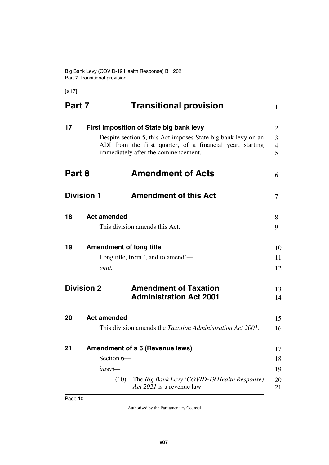[s 17]

<span id="page-11-17"></span><span id="page-11-16"></span><span id="page-11-15"></span><span id="page-11-14"></span><span id="page-11-13"></span><span id="page-11-12"></span><span id="page-11-11"></span><span id="page-11-10"></span><span id="page-11-9"></span><span id="page-11-8"></span><span id="page-11-7"></span><span id="page-11-6"></span><span id="page-11-5"></span><span id="page-11-4"></span><span id="page-11-3"></span><span id="page-11-2"></span><span id="page-11-1"></span><span id="page-11-0"></span>

| Part 7            |                                         | <b>Transitional provision</b>                                                                                                                                                                                | 1                             |
|-------------------|-----------------------------------------|--------------------------------------------------------------------------------------------------------------------------------------------------------------------------------------------------------------|-------------------------------|
| 17                |                                         | First imposition of State big bank levy<br>Despite section 5, this Act imposes State big bank levy on an<br>ADI from the first quarter, of a financial year, starting<br>immediately after the commencement. | 2<br>3<br>$\overline{4}$<br>5 |
| Part 8            |                                         | <b>Amendment of Acts</b>                                                                                                                                                                                     | 6                             |
| <b>Division 1</b> |                                         | <b>Amendment of this Act</b>                                                                                                                                                                                 | 7                             |
| 18                | <b>Act amended</b>                      | This division amends this Act.                                                                                                                                                                               | 8<br>9                        |
| 19                | <b>Amendment of long title</b><br>omit. | Long title, from $\cdot$ , and to amend $\cdot$ —                                                                                                                                                            | 10<br>11<br>12                |
| <b>Division 2</b> |                                         | <b>Amendment of Taxation</b><br><b>Administration Act 2001</b>                                                                                                                                               | 13<br>14                      |
| 20                | <b>Act amended</b>                      | This division amends the <i>Taxation Administration Act 2001</i> .                                                                                                                                           | 15<br>16                      |
| 21                | Section 6-<br>insert-<br>(10)           | <b>Amendment of s 6 (Revenue laws)</b><br>The Big Bank Levy (COVID-19 Health Response)<br>Act 2021 is a revenue law.                                                                                         | 17<br>18<br>19<br>20<br>21    |